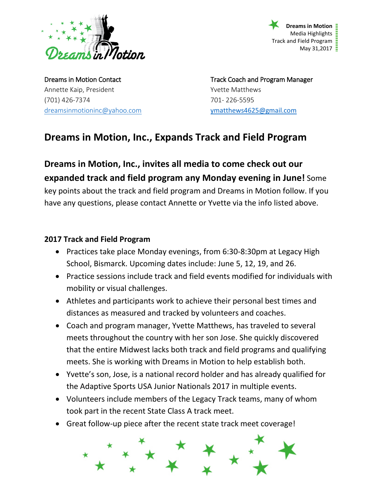

**Dreams in Motion** Media Highlights  $\frac{1}{2}$ Track and Field Program  $\bar{E}$ May 31,2017  $\frac{1}{2}$ 

Annette Kaip, President Version Annette Matthews (701) 426-7374 701- 226-5595 [dreamsinmotioninc@yahoo.com](mailto:dreamsinmotioninc@yahoo.com) vmatthews4625@gmail.com

Dreams in Motion Contact **Track Coach and Program Manager** Track Coach and Program Manager

## **Dreams in Motion, Inc., Expands Track and Field Program**

**Dreams in Motion, Inc., invites all media to come check out our expanded track and field program any Monday evening in June!** Some key points about the track and field program and Dreams in Motion follow. If you have any questions, please contact Annette or Yvette via the info listed above.

## **2017 Track and Field Program**

- Practices take place Monday evenings, from 6:30-8:30pm at Legacy High School, Bismarck. Upcoming dates include: June 5, 12, 19, and 26.
- Practice sessions include track and field events modified for individuals with mobility or visual challenges.
- Athletes and participants work to achieve their personal best times and distances as measured and tracked by volunteers and coaches.
- Coach and program manager, Yvette Matthews, has traveled to several meets throughout the country with her son Jose. She quickly discovered that the entire Midwest lacks both track and field programs and qualifying meets. She is working with Dreams in Motion to help establish both.
- Yvette's son, Jose, is a national record holder and has already qualified for the Adaptive Sports USA Junior Nationals 2017 in multiple events.
- Volunteers include members of the Legacy Track teams, many of whom took part in the recent State Class A track meet.
- Great follow-up piece after the recent state track meet coverage!